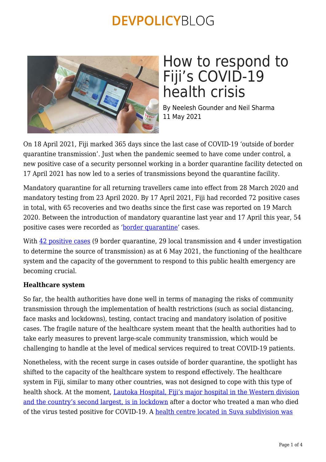

# How to respond to Fiji's COVID-19 health crisis

By Neelesh Gounder and Neil Sharma 11 May 2021

On 18 April 2021, Fiji marked 365 days since the last case of COVID-19 'outside of border quarantine transmission'. Just when the pandemic seemed to have come under control, a new positive case of a security personnel working in a border quarantine facility detected on 17 April 2021 has now led to a series of transmissions beyond the quarantine facility.

Mandatory quarantine for all returning travellers came into effect from 28 March 2020 and mandatory testing from 23 April 2020. By 17 April 2021, Fiji had recorded 72 positive cases in total, with 65 recoveries and two deaths since the first case was reported on 19 March 2020. Between the introduction of mandatory quarantine last year and 17 April this year, 54 positive cases were recorded as ['border quarantine'](http://www.health.gov.fj/covid-19-update-17-04-2021/) cases.

With [42 positive cases](http://www.health.gov.fj/covid-19-update-06-05-2021/) (9 border quarantine, 29 local transmission and 4 under investigation to determine the source of transmission) as at 6 May 2021, the functioning of the healthcare system and the capacity of the government to respond to this public health emergency are becoming crucial.

### **Healthcare system**

So far, the health authorities have done well in terms of managing the risks of community transmission through the implementation of health restrictions (such as social distancing, face masks and lockdowns), testing, contact tracing and mandatory isolation of positive cases. The fragile nature of the healthcare system meant that the health authorities had to take early measures to prevent large-scale community transmission, which would be challenging to handle at the level of medical services required to treat COVID-19 patients.

Nonetheless, with the recent surge in cases outside of border quarantine, the spotlight has shifted to the capacity of the healthcare system to respond effectively. The healthcare system in Fiji, similar to many other countries, was not designed to cope with this type of health shock. At the moment, [Lautoka Hospital, Fiji's major hospital in the Western division](https://www.theguardian.com/world/2021/may/06/fiji-seals-off-major-hospital-and-quarantines-hundreds-after-covid-death) [and the country's second largest, is in lockdown](https://www.theguardian.com/world/2021/may/06/fiji-seals-off-major-hospital-and-quarantines-hundreds-after-covid-death) after a doctor who treated a man who died of the virus tested positive for COVID-19. A [health centre located in Suva subdivision was](http://www.health.gov.fj/ps-health-press-statement-06-05-2021/)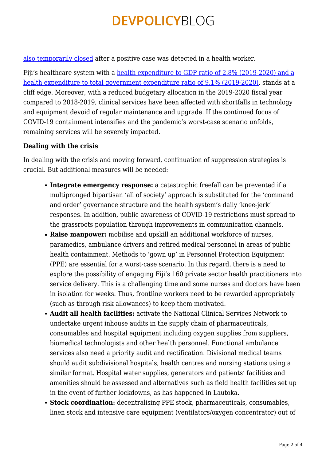[also temporarily closed](http://www.health.gov.fj/ps-health-press-statement-06-05-2021/) after a positive case was detected in a health worker.

Fiji's healthcare system with a [health expenditure to GDP ratio of 2.8% \(2019-2020\) and a](http://www.parliament.gov.fj/wp-content/uploads/2019/06/2019-2020-budget-estimates.pdf) [health expenditure to total government expenditure ratio of 9.1% \(2019-2020\)](http://www.parliament.gov.fj/wp-content/uploads/2019/06/2019-2020-budget-estimates.pdf), stands at a cliff edge. Moreover, with a reduced budgetary allocation in the 2019-2020 fiscal year compared to 2018-2019, clinical services have been affected with shortfalls in technology and equipment devoid of regular maintenance and upgrade. If the continued focus of COVID-19 containment intensifies and the pandemic's worst-case scenario unfolds, remaining services will be severely impacted.

### **Dealing with the crisis**

In dealing with the crisis and moving forward, continuation of suppression strategies is crucial. But additional measures will be needed:

- **Integrate emergency response:** a catastrophic freefall can be prevented if a multipronged bipartisan 'all of society' approach is substituted for the 'command and order' governance structure and the health system's daily 'knee-jerk' responses. In addition, public awareness of COVID-19 restrictions must spread to the grassroots population through improvements in communication channels.
- **Raise manpower:** mobilise and upskill an additional workforce of nurses, paramedics, ambulance drivers and retired medical personnel in areas of public health containment. Methods to 'gown up' in Personnel Protection Equipment (PPE) are essential for a worst-case scenario. In this regard, there is a need to explore the possibility of engaging Fiji's 160 private sector health practitioners into service delivery. This is a challenging time and some nurses and doctors have been in isolation for weeks. Thus, frontline workers need to be rewarded appropriately (such as through risk allowances) to keep them motivated.
- **Audit all health facilities:** activate the National Clinical Services Network to undertake urgent inhouse audits in the supply chain of pharmaceuticals, consumables and hospital equipment including oxygen supplies from suppliers, biomedical technologists and other health personnel. Functional ambulance services also need a priority audit and rectification. Divisional medical teams should audit subdivisional hospitals, health centres and nursing stations using a similar format. Hospital water supplies, generators and patients' facilities and amenities should be assessed and alternatives such as field health facilities set up in the event of further lockdowns, as has happened in Lautoka.
- **Stock coordination:** decentralising PPE stock, pharmaceuticals, consumables, linen stock and intensive care equipment (ventilators/oxygen concentrator) out of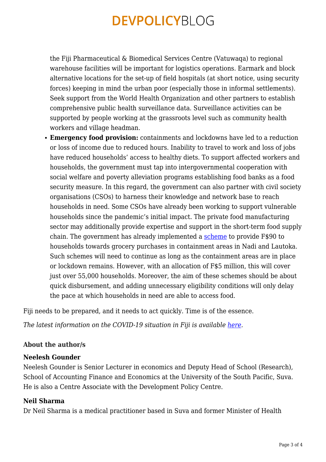the Fiji Pharmaceutical & Biomedical Services Centre (Vatuwaqa) to regional warehouse facilities will be important for logistics operations. Earmark and block alternative locations for the set-up of field hospitals (at short notice, using security forces) keeping in mind the urban poor (especially those in informal settlements). Seek support from the World Health Organization and other partners to establish comprehensive public health surveillance data. Surveillance activities can be supported by people working at the grassroots level such as community health workers and village headman.

**Emergency food provision:** containments and lockdowns have led to a reduction or loss of income due to reduced hours. Inability to travel to work and loss of jobs have reduced households' access to healthy diets. To support affected workers and households, the government must tap into intergovernmental cooperation with social welfare and poverty alleviation programs establishing food banks as a food security measure. In this regard, the government can also partner with civil society organisations (CSOs) to harness their knowledge and network base to reach households in need. Some CSOs have already been working to support vulnerable households since the pandemic's initial impact. The private food manufacturing sector may additionally provide expertise and support in the short-term food supply chain. The government has already implemented a [scheme](https://www.fijitimes.com/sayed-khaiyum-provides-clarity-on-grocery-scheme/) to provide F\$90 to households towards grocery purchases in containment areas in Nadi and Lautoka. Such schemes will need to continue as long as the containment areas are in place or lockdown remains. However, with an allocation of F\$5 million, this will cover just over 55,000 households. Moreover, the aim of these schemes should be about quick disbursement, and adding unnecessary eligibility conditions will only delay the pace at which households in need are able to access food.

Fiji needs to be prepared, and it needs to act quickly. Time is of the essence.

*The latest information on the COVID-19 situation in Fiji is available [here.](http://www.health.gov.fj/covid-19-updates/)* 

#### **About the author/s**

#### **Neelesh Gounder**

Neelesh Gounder is Senior Lecturer in economics and Deputy Head of School (Research), School of Accounting Finance and Economics at the University of the South Pacific, Suva. He is also a Centre Associate with the Development Policy Centre.

#### **Neil Sharma**

Dr Neil Sharma is a medical practitioner based in Suva and former Minister of Health